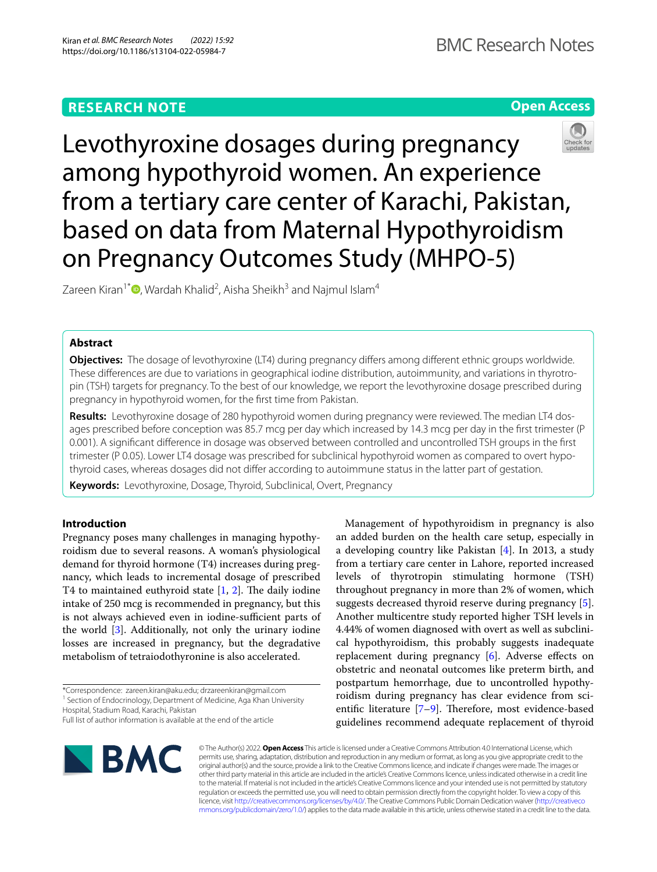# **RESEARCH NOTE**





Levothyroxine dosages during pregnancy among hypothyroid women. An experience from a tertiary care center of Karachi, Pakistan, based on data from Maternal Hypothyroidism on Pregnancy Outcomes Study (MHPO-5)

Zareen Kiran<sup>1\*</sup>  $\textsf{D}$ [,](http://orcid.org/0000-0003-3422-9359) Wardah Khalid<sup>2</sup>, Aisha Sheikh<sup>3</sup> and Najmul Islam<sup>4</sup>

## **Abstract**

**Objectives:** The dosage of levothyroxine (LT4) during pregnancy differs among different ethnic groups worldwide. These diferences are due to variations in geographical iodine distribution, autoimmunity, and variations in thyrotropin (TSH) targets for pregnancy. To the best of our knowledge, we report the levothyroxine dosage prescribed during pregnancy in hypothyroid women, for the frst time from Pakistan.

**Results:** Levothyroxine dosage of 280 hypothyroid women during pregnancy were reviewed. The median LT4 dosages prescribed before conception was 85.7 mcg per day which increased by 14.3 mcg per day in the frst trimester (P 0.001). A signifcant diference in dosage was observed between controlled and uncontrolled TSH groups in the frst trimester (P 0.05). Lower LT4 dosage was prescribed for subclinical hypothyroid women as compared to overt hypothyroid cases, whereas dosages did not difer according to autoimmune status in the latter part of gestation.

**Keywords:** Levothyroxine, Dosage, Thyroid, Subclinical, Overt, Pregnancy

## **Introduction**

Pregnancy poses many challenges in managing hypothyroidism due to several reasons. A woman's physiological demand for thyroid hormone (T4) increases during pregnancy, which leads to incremental dosage of prescribed T4 to maintained euthyroid state  $[1, 2]$  $[1, 2]$  $[1, 2]$  $[1, 2]$ . The daily iodine intake of 250 mcg is recommended in pregnancy, but this is not always achieved even in iodine-sufficient parts of the world [\[3](#page-4-2)]. Additionally, not only the urinary iodine losses are increased in pregnancy, but the degradative metabolism of tetraiodothyronine is also accelerated.

\*Correspondence: zareen.kiran@aku.edu; drzareenkiran@gmail.com <sup>1</sup> Section of Endocrinology, Department of Medicine, Aga Khan University Hospital, Stadium Road, Karachi, Pakistan

Management of hypothyroidism in pregnancy is also an added burden on the health care setup, especially in a developing country like Pakistan [\[4](#page-4-3)]. In 2013, a study from a tertiary care center in Lahore, reported increased levels of thyrotropin stimulating hormone (TSH) throughout pregnancy in more than 2% of women, which suggests decreased thyroid reserve during pregnancy [\[5](#page-4-4)]. Another multicentre study reported higher TSH levels in 4.44% of women diagnosed with overt as well as subclinical hypothyroidism, this probably suggests inadequate replacement during pregnancy [\[6](#page-4-5)]. Adverse effects on obstetric and neonatal outcomes like preterm birth, and postpartum hemorrhage, due to uncontrolled hypothyroidism during pregnancy has clear evidence from scientific literature  $[7-9]$  $[7-9]$ . Therefore, most evidence-based guidelines recommend adequate replacement of thyroid



© The Author(s) 2022. **Open Access** This article is licensed under a Creative Commons Attribution 4.0 International License, which permits use, sharing, adaptation, distribution and reproduction in any medium or format, as long as you give appropriate credit to the original author(s) and the source, provide a link to the Creative Commons licence, and indicate if changes were made. The images or other third party material in this article are included in the article's Creative Commons licence, unless indicated otherwise in a credit line to the material. If material is not included in the article's Creative Commons licence and your intended use is not permitted by statutory regulation or exceeds the permitted use, you will need to obtain permission directly from the copyright holder. To view a copy of this licence, visit [http://creativecommons.org/licenses/by/4.0/.](http://creativecommons.org/licenses/by/4.0/) The Creative Commons Public Domain Dedication waiver ([http://creativeco](http://creativecommons.org/publicdomain/zero/1.0/) [mmons.org/publicdomain/zero/1.0/](http://creativecommons.org/publicdomain/zero/1.0/)) applies to the data made available in this article, unless otherwise stated in a credit line to the data.

Full list of author information is available at the end of the article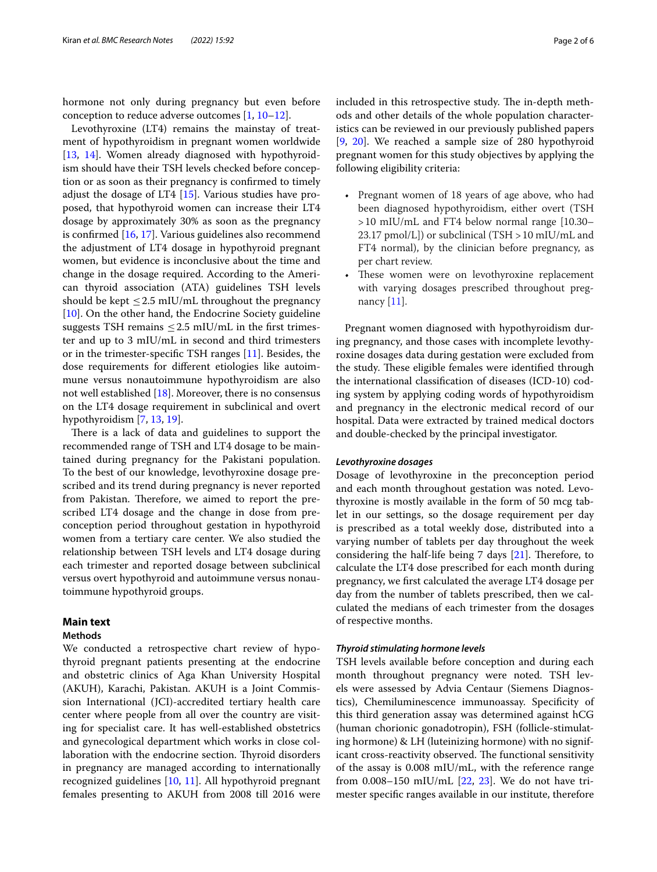hormone not only during pregnancy but even before conception to reduce adverse outcomes [[1](#page-4-0), [10–](#page-4-8)[12\]](#page-4-9).

Levothyroxine (LT4) remains the mainstay of treatment of hypothyroidism in pregnant women worldwide [[13,](#page-4-10) [14](#page-4-11)]. Women already diagnosed with hypothyroidism should have their TSH levels checked before conception or as soon as their pregnancy is confrmed to timely adjust the dosage of LT4 [[15\]](#page-4-12). Various studies have proposed, that hypothyroid women can increase their LT4 dosage by approximately 30% as soon as the pregnancy is confrmed [\[16](#page-4-13), [17\]](#page-4-14). Various guidelines also recommend the adjustment of LT4 dosage in hypothyroid pregnant women, but evidence is inconclusive about the time and change in the dosage required. According to the American thyroid association (ATA) guidelines TSH levels should be kept  $\leq$  2.5 mIU/mL throughout the pregnancy [[10\]](#page-4-8). On the other hand, the Endocrine Society guideline suggests TSH remains  $\leq$  2.5 mIU/mL in the first trimester and up to 3 mIU/mL in second and third trimesters or in the trimester-specifc TSH ranges [[11\]](#page-4-15). Besides, the dose requirements for diferent etiologies like autoimmune versus nonautoimmune hypothyroidism are also not well established [\[18](#page-4-16)]. Moreover, there is no consensus on the LT4 dosage requirement in subclinical and overt hypothyroidism [\[7](#page-4-6), [13](#page-4-10), [19\]](#page-4-17).

There is a lack of data and guidelines to support the recommended range of TSH and LT4 dosage to be maintained during pregnancy for the Pakistani population. To the best of our knowledge, levothyroxine dosage prescribed and its trend during pregnancy is never reported from Pakistan. Therefore, we aimed to report the prescribed LT4 dosage and the change in dose from preconception period throughout gestation in hypothyroid women from a tertiary care center. We also studied the relationship between TSH levels and LT4 dosage during each trimester and reported dosage between subclinical versus overt hypothyroid and autoimmune versus nonautoimmune hypothyroid groups.

### **Main text**

## **Methods**

We conducted a retrospective chart review of hypothyroid pregnant patients presenting at the endocrine and obstetric clinics of Aga Khan University Hospital (AKUH), Karachi, Pakistan. AKUH is a Joint Commission International (JCI)-accredited tertiary health care center where people from all over the country are visiting for specialist care. It has well-established obstetrics and gynecological department which works in close collaboration with the endocrine section. Thyroid disorders in pregnancy are managed according to internationally recognized guidelines [\[10](#page-4-8), [11](#page-4-15)]. All hypothyroid pregnant females presenting to AKUH from 2008 till 2016 were included in this retrospective study. The in-depth methods and other details of the whole population characteristics can be reviewed in our previously published papers [[9,](#page-4-7) [20](#page-4-18)]. We reached a sample size of 280 hypothyroid pregnant women for this study objectives by applying the following eligibility criteria:

- Pregnant women of 18 years of age above, who had been diagnosed hypothyroidism, either overt (TSH >10 mIU/mL and FT4 below normal range [10.30– 23.17 pmol/L]) or subclinical (TSH  $>$  10 mIU/mL and FT4 normal), by the clinician before pregnancy, as per chart review.
- These women were on levothyroxine replacement with varying dosages prescribed throughout pregnancy [\[11](#page-4-15)].

Pregnant women diagnosed with hypothyroidism during pregnancy, and those cases with incomplete levothyroxine dosages data during gestation were excluded from the study. These eligible females were identified through the international classifcation of diseases (ICD-10) coding system by applying coding words of hypothyroidism and pregnancy in the electronic medical record of our hospital. Data were extracted by trained medical doctors and double-checked by the principal investigator.

### *Levothyroxine dosages*

Dosage of levothyroxine in the preconception period and each month throughout gestation was noted. Levothyroxine is mostly available in the form of 50 mcg tablet in our settings, so the dosage requirement per day is prescribed as a total weekly dose, distributed into a varying number of tablets per day throughout the week considering the half-life being  $7$  days  $[21]$  $[21]$ . Therefore, to calculate the LT4 dose prescribed for each month during pregnancy, we frst calculated the average LT4 dosage per day from the number of tablets prescribed, then we calculated the medians of each trimester from the dosages of respective months.

## *Thyroid stimulating hormone levels*

TSH levels available before conception and during each month throughout pregnancy were noted. TSH levels were assessed by Advia Centaur (Siemens Diagnostics), Chemiluminescence immunoassay. Specifcity of this third generation assay was determined against hCG (human chorionic gonadotropin), FSH (follicle-stimulating hormone) & LH (luteinizing hormone) with no significant cross-reactivity observed. The functional sensitivity of the assay is 0.008 mIU/mL, with the reference range from  $0.008-150$  mIU/mL  $[22, 23]$  $[22, 23]$  $[22, 23]$ . We do not have trimester specifc ranges available in our institute, therefore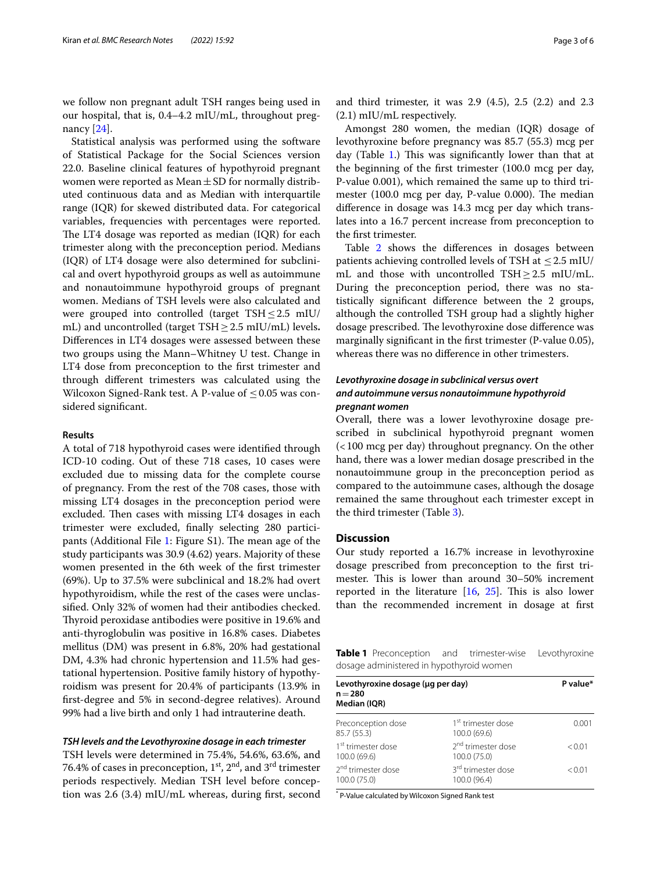we follow non pregnant adult TSH ranges being used in our hospital, that is, 0.4–4.2 mIU/mL, throughout pregnancy [[24\]](#page-5-2).

Statistical analysis was performed using the software of Statistical Package for the Social Sciences version 22.0. Baseline clinical features of hypothyroid pregnant women were reported as Mean  $\pm$  SD for normally distributed continuous data and as Median with interquartile range (IQR) for skewed distributed data. For categorical variables, frequencies with percentages were reported. The LT4 dosage was reported as median  $(IQR)$  for each trimester along with the preconception period. Medians (IQR) of LT4 dosage were also determined for subclinical and overt hypothyroid groups as well as autoimmune and nonautoimmune hypothyroid groups of pregnant women. Medians of TSH levels were also calculated and were grouped into controlled (target TSH $\leq$ 2.5 mIU/ mL) and uncontrolled (target TSH≥2.5 mIU/mL) levels**.** Diferences in LT4 dosages were assessed between these two groups using the Mann–Whitney U test. Change in LT4 dose from preconception to the frst trimester and through diferent trimesters was calculated using the Wilcoxon Signed-Rank test. A P-value of  $\leq 0.05$  was considered signifcant.

#### **Results**

A total of 718 hypothyroid cases were identifed through ICD-10 coding. Out of these 718 cases, 10 cases were excluded due to missing data for the complete course of pregnancy. From the rest of the 708 cases, those with missing LT4 dosages in the preconception period were excluded. Then cases with missing LT4 dosages in each trimester were excluded, fnally selecting 280 partici-pants (Additional File [1:](#page-4-20) Figure S1). The mean age of the study participants was 30.9 (4.62) years. Majority of these women presented in the 6th week of the frst trimester (69%). Up to 37.5% were subclinical and 18.2% had overt hypothyroidism, while the rest of the cases were unclassifed. Only 32% of women had their antibodies checked. Thyroid peroxidase antibodies were positive in 19.6% and anti-thyroglobulin was positive in 16.8% cases. Diabetes mellitus (DM) was present in 6.8%, 20% had gestational DM, 4.3% had chronic hypertension and 11.5% had gestational hypertension. Positive family history of hypothyroidism was present for 20.4% of participants (13.9% in frst-degree and 5% in second-degree relatives). Around 99% had a live birth and only 1 had intrauterine death.

## *TSH levels and the Levothyroxine dosage in each trimester*

TSH levels were determined in 75.4%, 54.6%, 63.6%, and 76.4% of cases in preconception,  $1<sup>st</sup>$ ,  $2<sup>nd</sup>$ , and  $3<sup>rd</sup>$  trimester periods respectively. Median TSH level before conception was 2.6 (3.4) mIU/mL whereas, during frst, second and third trimester, it was 2.9 (4.5), 2.5 (2.2) and 2.3 (2.1) mIU/mL respectively.

Amongst 280 women, the median (IQR) dosage of levothyroxine before pregnancy was 85.7 (55.3) mcg per day (Table [1](#page-2-0).) This was significantly lower than that at the beginning of the frst trimester (100.0 mcg per day, P-value 0.001), which remained the same up to third trimester (100.0 mcg per day, P-value 0.000). The median diference in dosage was 14.3 mcg per day which translates into a 16.7 percent increase from preconception to the frst trimester.

Table [2](#page-3-0) shows the diferences in dosages between patients achieving controlled levels of TSH at ≤2.5 mIU/ mL and those with uncontrolled TSH $\geq$ 2.5 mIU/mL. During the preconception period, there was no statistically signifcant diference between the 2 groups, although the controlled TSH group had a slightly higher dosage prescribed. The levothyroxine dose difference was marginally signifcant in the frst trimester (P-value 0.05), whereas there was no diference in other trimesters.

## *Levothyroxine dosage in subclinical versus overt and autoimmune versus nonautoimmune hypothyroid pregnant women*

Overall, there was a lower levothyroxine dosage prescribed in subclinical hypothyroid pregnant women (<100 mcg per day) throughout pregnancy. On the other hand, there was a lower median dosage prescribed in the nonautoimmune group in the preconception period as compared to the autoimmune cases, although the dosage remained the same throughout each trimester except in the third trimester (Table [3](#page-3-1)).

## **Discussion**

Our study reported a 16.7% increase in levothyroxine dosage prescribed from preconception to the frst trimester. This is lower than around 30–50% increment reported in the literature  $[16, 25]$  $[16, 25]$  $[16, 25]$  $[16, 25]$ . This is also lower than the recommended increment in dosage at frst

<span id="page-2-0"></span>**Table 1** Preconception and trimester-wise Levothyroxine dosage administered in hypothyroid women

| Levothyroxine dosage (µg per day)<br>$n = 280$<br>Median (IQR) | P value*                                       |        |
|----------------------------------------------------------------|------------------------------------------------|--------|
| Preconception dose<br>85.7 (55.3)                              | 1 <sup>st</sup> trimester dose<br>100.0 (69.6) | 0.001  |
| 1 <sup>st</sup> trimester dose<br>100.0 (69.6)                 | 2 <sup>nd</sup> trimester dose<br>100.0 (75.0) | < 0.01 |
| 2 <sup>nd</sup> trimester dose<br>100.0 (75.0)                 | 3 <sup>rd</sup> trimester dose<br>100.0 (96.4) | < 0.01 |
|                                                                |                                                |        |

\* P-Value calculated by Wilcoxon Signed Rank test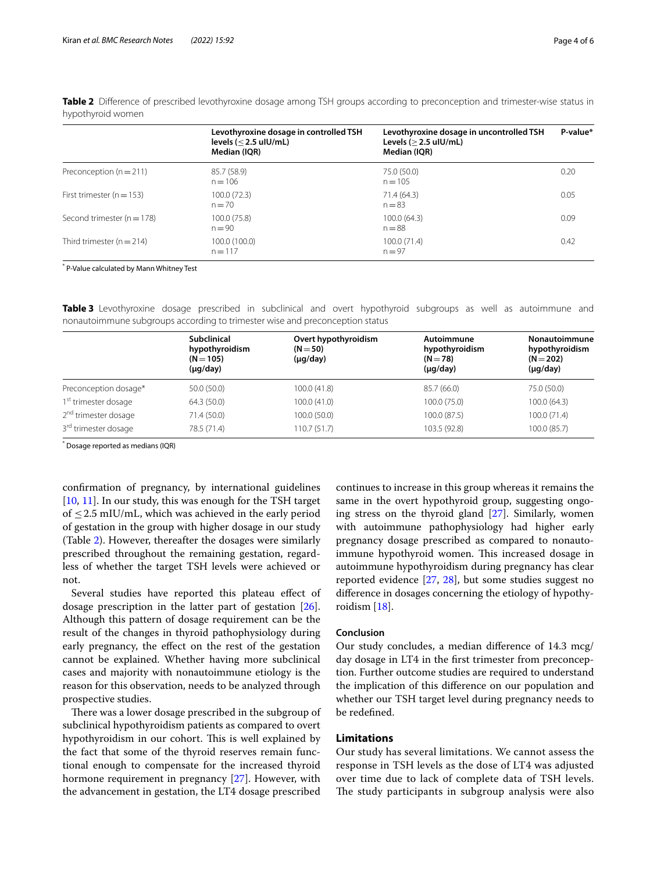|                                                            | Levothyroxine dosage in controlled TSH<br>levels ( $\leq$ 2.5 ulU/mL)<br>Median (IQR) | Levothyroxine dosage in uncontrolled TSH<br>Levels $(>2.5$ ulU/mL)<br>Median (IQR) | P-value* |
|------------------------------------------------------------|---------------------------------------------------------------------------------------|------------------------------------------------------------------------------------|----------|
| Preconception $(n=211)$                                    | 85.7 (58.9)<br>$n = 106$                                                              | 75.0 (50.0)<br>$n = 105$                                                           | 0.20     |
| First trimester ( $n = 153$ )                              | 100.0 (72.3)<br>$n = 70$                                                              | 71.4 (64.3)<br>$n = 83$                                                            | 0.05     |
| Second trimester ( $n = 178$ )<br>100.0 (75.8)<br>$n = 90$ |                                                                                       | 100.0(64.3)<br>$n = 88$                                                            | 0.09     |
| Third trimester ( $n = 214$ )                              | 100.0 (100.0)<br>$n = 117$                                                            | 100.0(71.4)<br>$n = 97$                                                            | 0.42     |

<span id="page-3-0"></span>**Table 2** Difference of prescribed levothyroxine dosage among TSH groups according to preconception and trimester-wise status in hypothyroid women

\* P-Value calculated by Mann Whitney Test

<span id="page-3-1"></span>**Table 3** Levothyroxine dosage prescribed in subclinical and overt hypothyroid subgroups as well as autoimmune and nonautoimmune subgroups according to trimester wise and preconception status

|                                  | <b>Subclinical</b><br>hypothyroidism<br>$(N = 105)$<br>$(\mu q / day)$ | Overt hypothyroidism<br>$(N = 50)$<br>$(\mu q / day)$ | Autoimmune<br>hypothyroidism<br>$(N = 78)$<br>$(\mu q / day)$ | Nonautoimmune<br>hypothyroidism<br>$(N = 202)$<br>$(\mu q / day)$ |
|----------------------------------|------------------------------------------------------------------------|-------------------------------------------------------|---------------------------------------------------------------|-------------------------------------------------------------------|
| Preconception dosage*            | 50.0 (50.0)                                                            | 100.0 (41.8)                                          | 85.7 (66.0)                                                   | 75.0 (50.0)                                                       |
| 1 <sup>st</sup> trimester dosage | 64.3 (50.0)                                                            | 100.0(41.0)                                           | 100.0(75.0)                                                   | 100.0 (64.3)                                                      |
| 2 <sup>nd</sup> trimester dosage | 71.4 (50.0)                                                            | 100.0(50.0)                                           | 100.0 (87.5)                                                  | 100.0 (71.4)                                                      |
| 3 <sup>rd</sup> trimester dosage | 78.5 (71.4)                                                            | 110.7(51.7)                                           | 103.5 (92.8)                                                  | 100.0 (85.7)                                                      |

\* Dosage reported as medians (IQR)

confrmation of pregnancy, by international guidelines [[10,](#page-4-8) [11](#page-4-15)]. In our study, this was enough for the TSH target of  $\leq$  2.5 mIU/mL, which was achieved in the early period of gestation in the group with higher dosage in our study (Table [2](#page-3-0)). However, thereafter the dosages were similarly prescribed throughout the remaining gestation, regardless of whether the target TSH levels were achieved or not.

Several studies have reported this plateau effect of dosage prescription in the latter part of gestation [\[26](#page-5-4)]. Although this pattern of dosage requirement can be the result of the changes in thyroid pathophysiology during early pregnancy, the efect on the rest of the gestation cannot be explained. Whether having more subclinical cases and majority with nonautoimmune etiology is the reason for this observation, needs to be analyzed through prospective studies.

There was a lower dosage prescribed in the subgroup of subclinical hypothyroidism patients as compared to overt hypothyroidism in our cohort. This is well explained by the fact that some of the thyroid reserves remain functional enough to compensate for the increased thyroid hormone requirement in pregnancy [\[27\]](#page-5-5). However, with the advancement in gestation, the LT4 dosage prescribed

continues to increase in this group whereas it remains the same in the overt hypothyroid group, suggesting ongoing stress on the thyroid gland [\[27](#page-5-5)]. Similarly, women with autoimmune pathophysiology had higher early pregnancy dosage prescribed as compared to nonautoimmune hypothyroid women. This increased dosage in autoimmune hypothyroidism during pregnancy has clear reported evidence [\[27](#page-5-5), [28\]](#page-5-6), but some studies suggest no diference in dosages concerning the etiology of hypothyroidism [[18\]](#page-4-16).

## **Conclusion**

Our study concludes, a median diference of 14.3 mcg/ day dosage in LT4 in the frst trimester from preconception. Further outcome studies are required to understand the implication of this diference on our population and whether our TSH target level during pregnancy needs to be redefned.

## **Limitations**

Our study has several limitations. We cannot assess the response in TSH levels as the dose of LT4 was adjusted over time due to lack of complete data of TSH levels. The study participants in subgroup analysis were also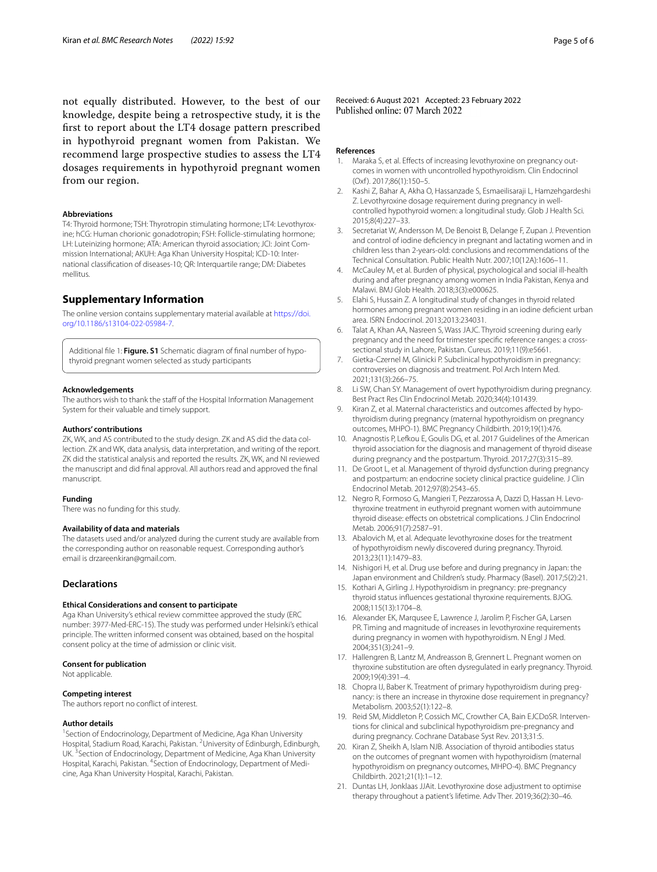not equally distributed. However, to the best of our knowledge, despite being a retrospective study, it is the frst to report about the LT4 dosage pattern prescribed in hypothyroid pregnant women from Pakistan. We recommend large prospective studies to assess the LT4 dosages requirements in hypothyroid pregnant women from our region.

## **Abbreviations**

T4: Thyroid hormone; TSH: Thyrotropin stimulating hormone; LT4: Levothyroxine; hCG: Human chorionic gonadotropin; FSH: Follicle-stimulating hormone; LH: Luteinizing hormone; ATA: American thyroid association; JCI: Joint Commission International; AKUH: Aga Khan University Hospital; ICD-10: International classifcation of diseases-10; QR: Interquartile range; DM: Diabetes mellitus.

## **Supplementary Information**

The online version contains supplementary material available at [https://doi.](https://doi.org/10.1186/s13104-022-05984-7) [org/10.1186/s13104-022-05984-7](https://doi.org/10.1186/s13104-022-05984-7).

<span id="page-4-20"></span>Additional fle 1: **Figure. S1** Schematic diagram of fnal number of hypothyroid pregnant women selected as study participants

#### **Acknowledgements**

The authors wish to thank the staff of the Hospital Information Management System for their valuable and timely support.

#### **Authors' contributions**

ZK, WK, and AS contributed to the study design. ZK and AS did the data collection. ZK and WK, data analysis, data interpretation, and writing of the report. ZK did the statistical analysis and reported the results. ZK, WK, and NI reviewed the manuscript and did fnal approval. All authors read and approved the fnal manuscript.

#### **Funding**

There was no funding for this study.

#### **Availability of data and materials**

The datasets used and/or analyzed during the current study are available from the corresponding author on reasonable request. Corresponding author's email is drzareenkiran@gmail.com.

## **Declarations**

#### **Ethical Considerations and consent to participate**

Aga Khan University's ethical review committee approved the study (ERC number: 3977-Med-ERC-15). The study was performed under Helsinki's ethical principle. The written informed consent was obtained, based on the hospital consent policy at the time of admission or clinic visit.

#### **Consent for publication**

Not applicable.

#### **Competing interest**

The authors report no confict of interest.

#### **Author details**

<sup>1</sup> Section of Endocrinology, Department of Medicine, Aga Khan University Hospital, Stadium Road, Karachi, Pakistan. <sup>2</sup>University of Edinburgh, Edinburgh, UK.<sup>3</sup> Section of Endocrinology, Department of Medicine, Aga Khan University Hospital, Karachi, Pakistan. <sup>4</sup>Section of Endocrinology, Department of Medicine, Aga Khan University Hospital, Karachi, Pakistan.

Received: 6 August 2021 Accepted: 23 February 2022<br>Published online: 07 March 2022

#### **References**

- <span id="page-4-0"></span>1. Maraka S, et al. Effects of increasing levothyroxine on pregnancy outcomes in women with uncontrolled hypothyroidism. Clin Endocrinol (Oxf ). 2017;86(1):150–5.
- <span id="page-4-1"></span>2. Kashi Z, Bahar A, Akha O, Hassanzade S, Esmaeilisaraji L, Hamzehgardeshi Z. Levothyroxine dosage requirement during pregnancy in wellcontrolled hypothyroid women: a longitudinal study. Glob J Health Sci. 2015;8(4):227–33.
- <span id="page-4-2"></span>3. Secretariat W, Andersson M, De Benoist B, Delange F, Zupan J. Prevention and control of iodine defciency in pregnant and lactating women and in children less than 2-years-old: conclusions and recommendations of the Technical Consultation. Public Health Nutr. 2007;10(12A):1606–11.
- <span id="page-4-3"></span>4. McCauley M, et al. Burden of physical, psychological and social ill-health during and after pregnancy among women in India Pakistan, Kenya and Malawi. BMJ Glob Health. 2018;3(3):e000625.
- <span id="page-4-4"></span>5. Elahi S, Hussain Z. A longitudinal study of changes in thyroid related hormones among pregnant women residing in an iodine defcient urban area. ISRN Endocrinol. 2013;2013:234031.
- <span id="page-4-5"></span>6. Talat A, Khan AA, Nasreen S, Wass JAJC. Thyroid screening during early pregnancy and the need for trimester specifc reference ranges: a crosssectional study in Lahore, Pakistan. Cureus. 2019;11(9):e5661.
- <span id="page-4-6"></span>7. Gietka-Czernel M, Glinicki P. Subclinical hypothyroidism in pregnancy: controversies on diagnosis and treatment. Pol Arch Intern Med. 2021;131(3):266–75.
- 8. Li SW, Chan SY. Management of overt hypothyroidism during pregnancy. Best Pract Res Clin Endocrinol Metab. 2020;34(4):101439.
- <span id="page-4-7"></span>9. Kiran Z, et al. Maternal characteristics and outcomes affected by hypothyroidism during pregnancy (maternal hypothyroidism on pregnancy outcomes, MHPO-1). BMC Pregnancy Childbirth. 2019;19(1):476.
- <span id="page-4-8"></span>10. Anagnostis P, Lefkou E, Goulis DG, et al. 2017 Guidelines of the American thyroid association for the diagnosis and management of thyroid disease during pregnancy and the postpartum. Thyroid. 2017;27(3):315–89.
- <span id="page-4-15"></span>11. De Groot L, et al. Management of thyroid dysfunction during pregnancy and postpartum: an endocrine society clinical practice guideline. J Clin Endocrinol Metab. 2012;97(8):2543–65.
- <span id="page-4-9"></span>12. Negro R, Formoso G, Mangieri T, Pezzarossa A, Dazzi D, Hassan H. Levothyroxine treatment in euthyroid pregnant women with autoimmune thyroid disease: efects on obstetrical complications. J Clin Endocrinol Metab. 2006;91(7):2587–91.
- <span id="page-4-10"></span>13. Abalovich M, et al. Adequate levothyroxine doses for the treatment of hypothyroidism newly discovered during pregnancy. Thyroid. 2013;23(11):1479–83.
- <span id="page-4-11"></span>14. Nishigori H, et al. Drug use before and during pregnancy in Japan: the Japan environment and Children's study. Pharmacy (Basel). 2017;5(2):21.
- <span id="page-4-12"></span>15. Kothari A, Girling J. Hypothyroidism in pregnancy: pre-pregnancy thyroid status infuences gestational thyroxine requirements. BJOG. 2008;115(13):1704–8.
- <span id="page-4-13"></span>16. Alexander EK, Marqusee E, Lawrence J, Jarolim P, Fischer GA, Larsen PR. Timing and magnitude of increases in levothyroxine requirements during pregnancy in women with hypothyroidism. N Engl J Med. 2004;351(3):241–9.
- <span id="page-4-14"></span>17. Hallengren B, Lantz M, Andreasson B, Grennert L. Pregnant women on thyroxine substitution are often dysregulated in early pregnancy. Thyroid. 2009;19(4):391–4.
- <span id="page-4-16"></span>18. Chopra IJ, Baber K. Treatment of primary hypothyroidism during pregnancy: is there an increase in thyroxine dose requirement in pregnancy? Metabolism. 2003;52(1):122–8.
- <span id="page-4-17"></span>19. Reid SM, Middleton P, Cossich MC, Crowther CA, Bain EJCDoSR. Interventions for clinical and subclinical hypothyroidism pre-pregnancy and during pregnancy. Cochrane Database Syst Rev. 2013;31:5.
- <span id="page-4-18"></span>20. Kiran Z, Sheikh A, Islam NJB. Association of thyroid antibodies status on the outcomes of pregnant women with hypothyroidism (maternal hypothyroidism on pregnancy outcomes, MHPO-4). BMC Pregnancy Childbirth. 2021;21(1):1–12.
- <span id="page-4-19"></span>21. Duntas LH, Jonklaas JJAit. Levothyroxine dose adjustment to optimise therapy throughout a patient's lifetime. Adv Ther. 2019;36(2):30–46.